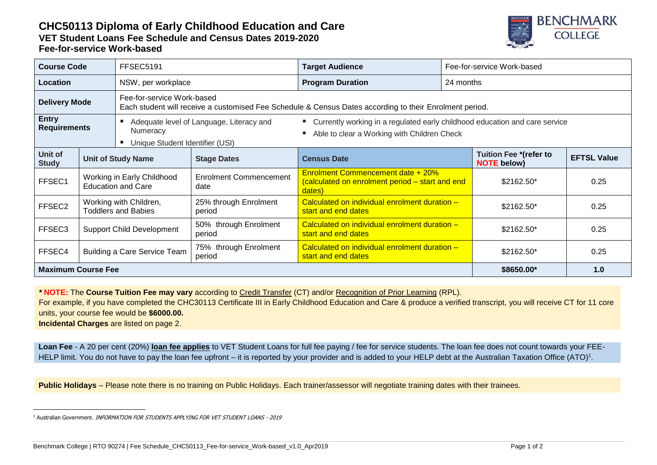## **CHC50113 Diploma of Early Childhood Education and Care VET Student Loans Fee Schedule and Census Dates 2019-2020 Fee-for-service Work-based**



| <b>Course Code</b>                  |                                                         | FFSEC5191                                                                                                                             |                                       | <b>Target Audience</b>                                                                                                       | Fee-for-service Work-based |                                                     |                    |
|-------------------------------------|---------------------------------------------------------|---------------------------------------------------------------------------------------------------------------------------------------|---------------------------------------|------------------------------------------------------------------------------------------------------------------------------|----------------------------|-----------------------------------------------------|--------------------|
| Location                            |                                                         | NSW, per workplace                                                                                                                    |                                       | <b>Program Duration</b>                                                                                                      | 24 months                  |                                                     |                    |
| <b>Delivery Mode</b>                |                                                         | Fee-for-service Work-based<br>Each student will receive a customised Fee Schedule & Census Dates according to their Enrolment period. |                                       |                                                                                                                              |                            |                                                     |                    |
| <b>Entry</b><br><b>Requirements</b> |                                                         | Adequate level of Language, Literacy and<br>Numeracy<br>Unique Student Identifier (USI)                                               |                                       | " Currently working in a regulated early childhood education and care service<br>Able to clear a Working with Children Check |                            |                                                     |                    |
| Unit of<br><b>Study</b>             | <b>Unit of Study Name</b>                               |                                                                                                                                       | <b>Stage Dates</b>                    | <b>Census Date</b>                                                                                                           |                            | <b>Tuition Fee *(refer to</b><br><b>NOTE</b> below) | <b>EFTSL Value</b> |
| FFSEC1                              | Working in Early Childhood<br><b>Education and Care</b> |                                                                                                                                       | <b>Enrolment Commencement</b><br>date | <b>Enrolment Commencement date + 20%</b><br>(calculated on enrolment period - start and end<br>dates)                        |                            | $$2162.50*$                                         | 0.25               |
| FFSEC2                              | Working with Children,<br><b>Toddlers and Babies</b>    |                                                                                                                                       | 25% through Enrolment<br>period       | Calculated on individual enrolment duration -<br>start and end dates                                                         |                            | \$2162.50*                                          | 0.25               |
| FFSEC3                              | <b>Support Child Development</b>                        |                                                                                                                                       | 50% through Enrolment<br>period       | Calculated on individual enrolment duration -<br>start and end dates                                                         |                            | $$2162.50*$                                         | 0.25               |
| FFSEC4                              | <b>Building a Care Service Team</b>                     |                                                                                                                                       | 75% through Enrolment<br>period       | Calculated on individual enrolment duration -<br>start and end dates                                                         |                            | \$2162.50*                                          | 0.25               |
| <b>Maximum Course Fee</b>           |                                                         |                                                                                                                                       | \$8650.00*                            | 1.0                                                                                                                          |                            |                                                     |                    |

*\** **NOTE:** The **Course Tuition Fee may vary** according to Credit Transfer (CT) and/or Recognition of Prior Learning (RPL).

For example, if you have completed the CHC30113 Certificate III in Early Childhood Education and Care & produce a verified transcript, you will receive CT for 11 core units, your course fee would be **\$6000.00.**

**Incidental Charges** are listed on page 2.

**Loan Fee** - A 20 per cent (20%) **loan fee applies** to VET Student Loans for full fee paying / fee for service students. The loan fee does not count towards your FEE-HELP limit. You do not have to pay the loan fee upfront – it is reported by your provider and is added to your HELP debt at the Australian Taxation Office (ATO)<sup>1</sup>.

**Public Holidays** – Please note there is no training on Public Holidays. Each trainer/assessor will negotiate training dates with their trainees.

<sup>-</sup><sup>1</sup> Australian Government. INFORMATION FOR STUDENTS APPLYING FOR VET STUDENT LOANS - 2019